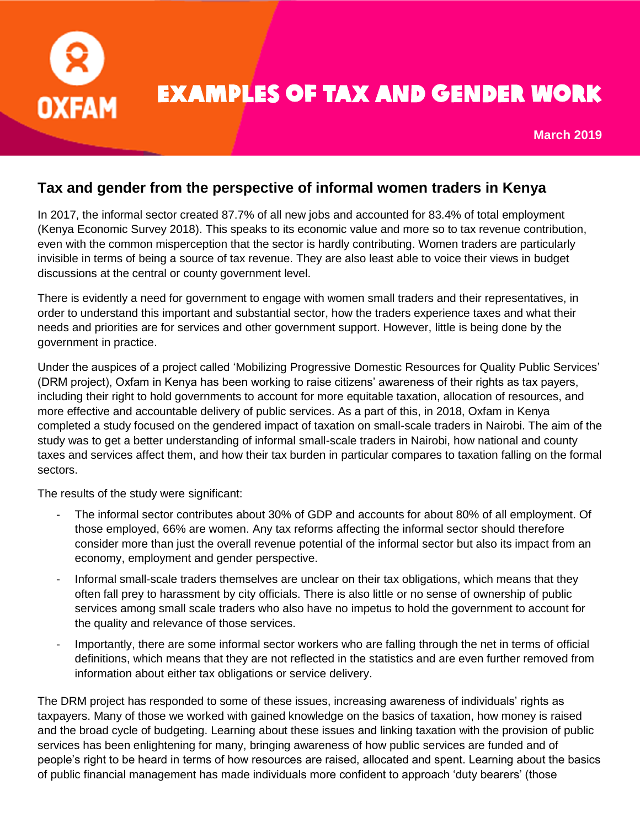

## Examples of tax and gender work

**March 2019**

## **Tax and gender from the perspective of informal women traders in Kenya**

In 2017, the informal sector created 87.7% of all new jobs and accounted for 83.4% of total employment (Kenya Economic Survey 2018). This speaks to its economic value and more so to tax revenue contribution, even with the common misperception that the sector is hardly contributing. Women traders are particularly invisible in terms of being a source of tax revenue. They are also least able to voice their views in budget discussions at the central or county government level.

There is evidently a need for government to engage with women small traders and their representatives, in order to understand this important and substantial sector, how the traders experience taxes and what their needs and priorities are for services and other government support. However, little is being done by the government in practice.

Under the auspices of a project called ['Mobilizing Progressive Domestic Resources for Quality Public Services'](https://policy-practice.oxfam.org.uk/publications/mobilising-progressive-domestic-resources-for-quality-public-services-final-pro-620521) (DRM project), Oxfam in Kenya has been working to raise citizens' awareness of their rights as tax payers, including their right to hold governments to account for more equitable taxation, allocation of resources, and more effective and accountable delivery of public services. As a part of this, in 2018, Oxfam in Kenya completed a study focused on the gendered impact of taxation on small-scale traders in Nairobi. The aim of the study was to get a better understanding of informal small-scale traders in Nairobi, how national and county taxes and services affect them, and how their tax burden in particular compares to taxation falling on the formal sectors.

The results of the study were significant:

- The informal sector contributes about 30% of GDP and accounts for about 80% of all employment. Of those employed, 66% are women. Any tax reforms affecting the informal sector should therefore consider more than just the overall revenue potential of the informal sector but also its impact from an economy, employment and gender perspective.
- Informal small-scale traders themselves are unclear on their tax obligations, which means that they often fall prey to harassment by city officials. There is also little or no sense of ownership of public services among small scale traders who also have no impetus to hold the government to account for the quality and relevance of those services.
- Importantly, there are some informal sector workers who are falling through the net in terms of official definitions, which means that they are not reflected in the statistics and are even further removed from information about either tax obligations or service delivery.

The DRM project has responded to some of these issues, increasing awareness of individuals' rights as taxpayers. Many of those we worked with gained knowledge on the basics of taxation, how money is raised and the broad cycle of budgeting. Learning about these issues and linking taxation with the provision of public services has been enlightening for many, bringing awareness of how public services are funded and of people's right to be heard in terms of how resources are raised, allocated and spent. Learning about the basics of public financial management has made individuals more confident to approach 'duty bearers' (those